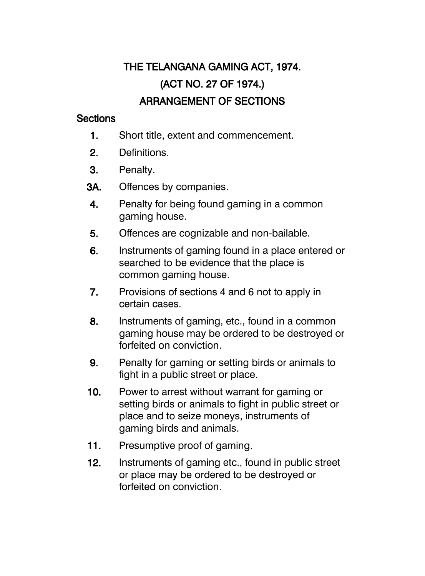## THE TELANGANA GAMING ACT, 1974. (ACT NO. 27 OF 1974.) ARRANGEMENT OF SECTIONS

## **Sections**

- 1. Short title, extent and commencement.
- 2. Definitions.
- 3. Penalty.
- 3A. Offences by companies.
- 4. Penalty for being found gaming in a common gaming house.
- 5. Offences are cognizable and non-bailable.
- 6. Instruments of gaming found in a place entered or searched to be evidence that the place is common gaming house.
- 7. Provisions of sections 4 and 6 not to apply in certain cases.
- 8. Instruments of gaming, etc., found in a common gaming house may be ordered to be destroyed or forfeited on conviction.
- 9. Penalty for gaming or setting birds or animals to fight in a public street or place.
- 10. Power to arrest without warrant for gaming or setting birds or animals to fight in public street or place and to seize moneys, instruments of gaming birds and animals.
- 11. Presumptive proof of gaming.
- 12. Instruments of gaming etc., found in public street or place may be ordered to be destroyed or forfeited on conviction.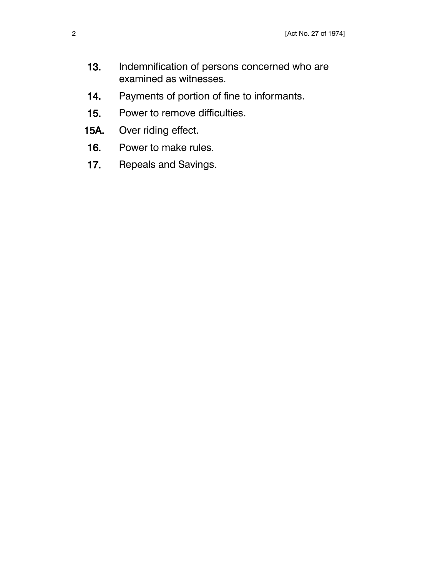- 13. Indemnification of persons concerned who are examined as witnesses.
- 14. Payments of portion of fine to informants.
- 15. Power to remove difficulties.
- 15A. Over riding effect.
- 16. Power to make rules.
- 17. Repeals and Savings.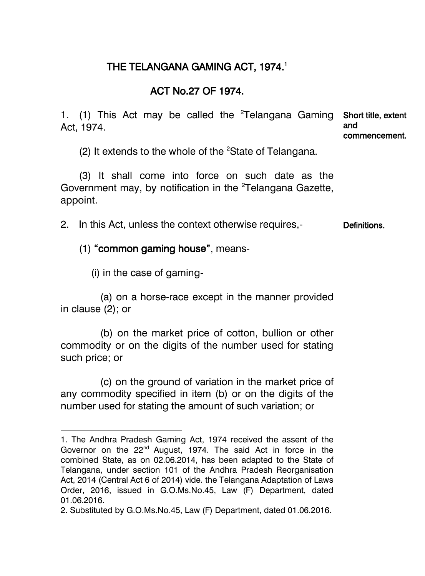## THE TELANGANA GAMING ACT, 1974. 1

## ACT No.27 OF 1974.

1. (1) This Act may be called the <sup>2</sup>Telangana Gaming Short title, extent Act, 1974. and commencement.

(2) It extends to the whole of the  ${}^{2}$ State of Telangana.

(3) It shall come into force on such date as the Government may, by notification in the <sup>2</sup>Telangana Gazette, appoint.

2. In this Act, unless the context otherwise requires,- Definitions.

(1) "common gaming house", means-

(i) in the case of gaming-

 $\overline{\phantom{a}}$ 

(a) on a horse-race except in the manner provided in clause (2); or

(b) on the market price of cotton, bullion or other commodity or on the digits of the number used for stating such price; or

(c) on the ground of variation in the market price of any commodity specified in item (b) or on the digits of the number used for stating the amount of such variation; or

<sup>1.</sup> The Andhra Pradesh Gaming Act, 1974 received the assent of the Governor on the 22<sup>nd</sup> August, 1974. The said Act in force in the combined State, as on 02.06.2014, has been adapted to the State of Telangana, under section 101 of the Andhra Pradesh Reorganisation Act, 2014 (Central Act 6 of 2014) vide. the Telangana Adaptation of Laws Order, 2016, issued in G.O.Ms.No.45, Law (F) Department, dated 01.06.2016.

<sup>2.</sup> Substituted by G.O.Ms.No.45, Law (F) Department, dated 01.06.2016.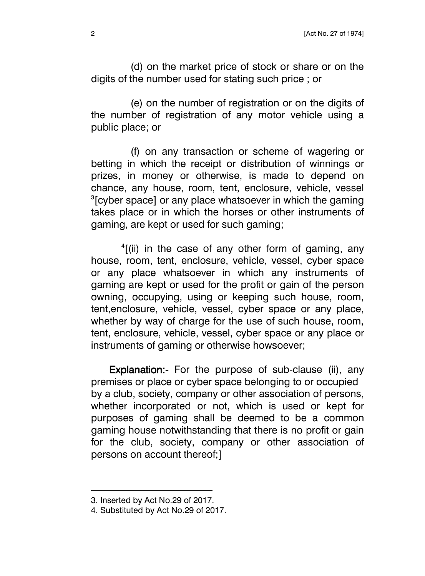(d) on the market price of stock or share or on the digits of the number used for stating such price ; or

(e) on the number of registration or on the digits of the number of registration of any motor vehicle using a public place; or

(f) on any transaction or scheme of wagering or betting in which the receipt or distribution of winnings or prizes, in money or otherwise, is made to depend on chance, any house, room, tent, enclosure, vehicle, vessel  $3$ [cyber space] or any place whatsoever in which the gaming takes place or in which the horses or other instruments of gaming, are kept or used for such gaming;

<sup>4</sup>[(ii) in the case of any other form of gaming, any house, room, tent, enclosure, vehicle, vessel, cyber space or any place whatsoever in which any instruments of gaming are kept or used for the profit or gain of the person owning, occupying, using or keeping such house, room, tent,enclosure, vehicle, vessel, cyber space or any place, whether by way of charge for the use of such house, room, tent, enclosure, vehicle, vessel, cyber space or any place or instruments of gaming or otherwise howsoever;

Explanation:- For the purpose of sub-clause (ii), any premises or place or cyber space belonging to or occupied by a club, society, company or other association of persons, whether incorporated or not, which is used or kept for purposes of gaming shall be deemed to be a common gaming house notwithstanding that there is no profit or gain for the club, society, company or other association of persons on account thereof;]

<sup>3.</sup> Inserted by Act No.29 of 2017.

<sup>4.</sup> Substituted by Act No.29 of 2017.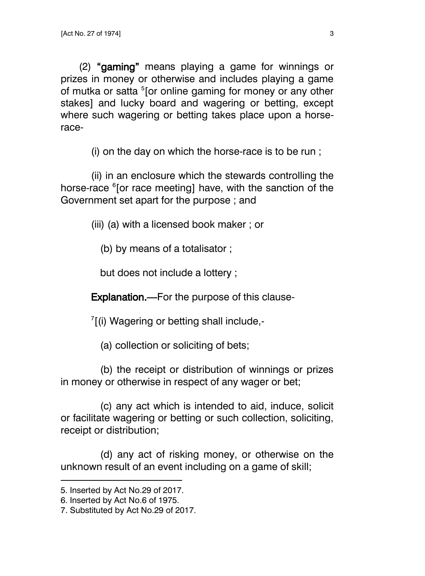(2) "gaming" means playing a game for winnings or prizes in money or otherwise and includes playing a game of mutka or satta <sup>5</sup>[or online gaming for money or any other stakes] and lucky board and wagering or betting, except where such wagering or betting takes place upon a horserace-

(i) on the day on which the horse-race is to be run ;

(ii) in an enclosure which the stewards controlling the horse-race <sup>6</sup>[or race meeting] have, with the sanction of the Government set apart for the purpose ; and

(iii) (a) with a licensed book maker ; or

(b) by means of a totalisator ;

but does not include a lottery ;

Explanation.—For the purpose of this clause-

 $7$ [(i) Wagering or betting shall include,-

(a) collection or soliciting of bets;

(b) the receipt or distribution of winnings or prizes in money or otherwise in respect of any wager or bet;

(c) any act which is intended to aid, induce, solicit or facilitate wagering or betting or such collection, soliciting, receipt or distribution;

(d) any act of risking money, or otherwise on the unknown result of an event including on a game of skill;

<sup>5.</sup> Inserted by Act No.29 of 2017.

<sup>6.</sup> Inserted by Act No.6 of 1975.

<sup>7.</sup> Substituted by Act No.29 of 2017.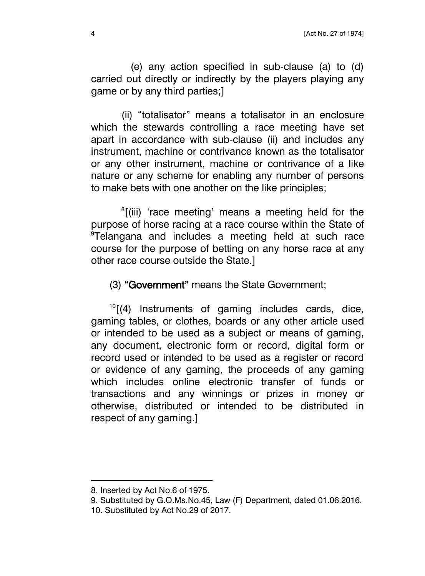(e) any action specified in sub-clause (a) to (d) carried out directly or indirectly by the players playing any game or by any third parties;]

(ii) "totalisator" means a totalisator in an enclosure which the stewards controlling a race meeting have set apart in accordance with sub-clause (ii) and includes any instrument, machine or contrivance known as the totalisator or any other instrument, machine or contrivance of a like nature or any scheme for enabling any number of persons to make bets with one another on the like principles;

<sup>8</sup>[(iii) 'race meeting' means a meeting held for the purpose of horse racing at a race course within the State of <sup>9</sup>Telangana and includes a meeting held at such race course for the purpose of betting on any horse race at any other race course outside the State.]

(3) "Government" means the State Government;

 $10$ [(4) Instruments of gaming includes cards, dice, gaming tables, or clothes, boards or any other article used or intended to be used as a subject or means of gaming, any document, electronic form or record, digital form or record used or intended to be used as a register or record or evidence of any gaming, the proceeds of any gaming which includes online electronic transfer of funds or transactions and any winnings or prizes in money or otherwise, distributed or intended to be distributed in respect of any gaming.]

l

9. Substituted by G.O.Ms.No.45, Law (F) Department, dated 01.06.2016.

<sup>8.</sup> Inserted by Act No.6 of 1975.

<sup>10.</sup> Substituted by Act No.29 of 2017.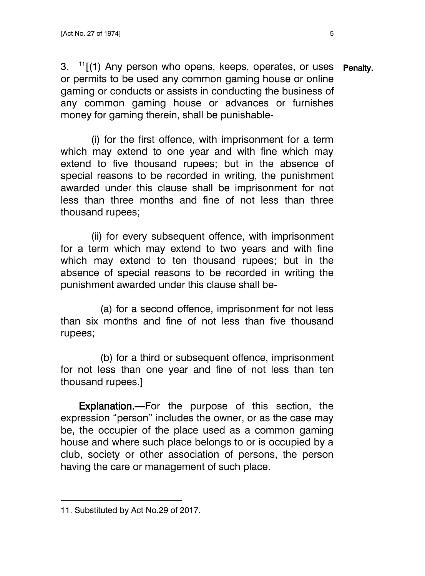3. <sup>11</sup>[(1) Any person who opens, keeps, operates, or uses Penalty. or permits to be used any common gaming house or online gaming or conducts or assists in conducting the business of any common gaming house or advances or furnishes money for gaming therein, shall be punishable-

(i) for the first offence, with imprisonment for a term which may extend to one year and with fine which may extend to five thousand rupees; but in the absence of special reasons to be recorded in writing, the punishment awarded under this clause shall be imprisonment for not less than three months and fine of not less than three thousand rupees;

(ii) for every subsequent offence, with imprisonment for a term which may extend to two years and with fine which may extend to ten thousand rupees; but in the absence of special reasons to be recorded in writing the punishment awarded under this clause shall be-

(a) for a second offence, imprisonment for not less than six months and fine of not less than five thousand rupees;

(b) for a third or subsequent offence, imprisonment for not less than one year and fine of not less than ten thousand rupees.]

Explanation.—For the purpose of this section, the expression "person" includes the owner, or as the case may be, the occupier of the place used as a common gaming house and where such place belongs to or is occupied by a club, society or other association of persons, the person having the care or management of such place.

<sup>11.</sup> Substituted by Act No.29 of 2017.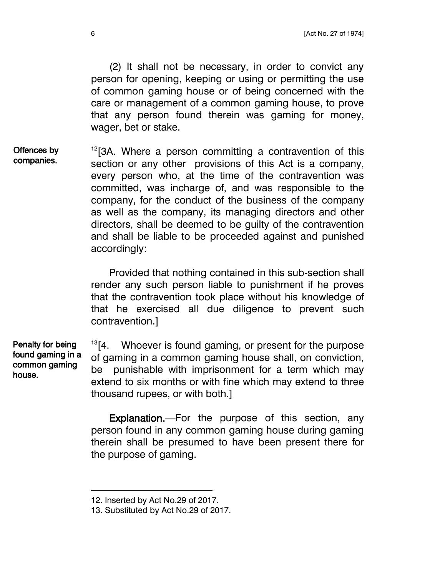(2) It shall not be necessary, in order to convict any person for opening, keeping or using or permitting the use of common gaming house or of being concerned with the care or management of a common gaming house, to prove that any person found therein was gaming for money, wager, bet or stake.

 $12$ [3A. Where a person committing a contravention of this section or any other provisions of this Act is a company, every person who, at the time of the contravention was committed, was incharge of, and was responsible to the company, for the conduct of the business of the company as well as the company, its managing directors and other directors, shall be deemed to be guilty of the contravention and shall be liable to be proceeded against and punished accordingly: Offences by companies.

> Provided that nothing contained in this sub-section shall render any such person liable to punishment if he proves that the contravention took place without his knowledge of that he exercised all due diligence to prevent such contravention.]

 $13$ [4. Whoever is found gaming, or present for the purpose of gaming in a common gaming house shall, on conviction, be punishable with imprisonment for a term which may extend to six months or with fine which may extend to three thousand rupees, or with both.] Penalty for being found gaming in a common gaming house.

> Explanation.—For the purpose of this section, any person found in any common gaming house during gaming therein shall be presumed to have been present there for the purpose of gaming.

<sup>12.</sup> Inserted by Act No.29 of 2017.

<sup>13.</sup> Substituted by Act No.29 of 2017.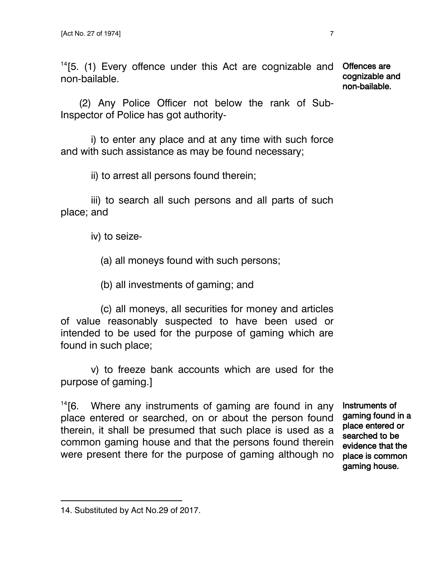$14$ [5. (1) Every offence under this Act are cognizable and Offences are non-bailable.

cognizable and non-bailable.

(2) Any Police Officer not below the rank of Sub-Inspector of Police has got authority-

i) to enter any place and at any time with such force and with such assistance as may be found necessary;

ii) to arrest all persons found therein;

iii) to search all such persons and all parts of such place; and

iv) to seize-

- (a) all moneys found with such persons;
- (b) all investments of gaming; and

(c) all moneys, all securities for money and articles of value reasonably suspected to have been used or intended to be used for the purpose of gaming which are found in such place;

v) to freeze bank accounts which are used for the purpose of gaming.]

 $14$ [6. Where any instruments of gaming are found in any place entered or searched, on or about the person found therein, it shall be presumed that such place is used as a common gaming house and that the persons found therein were present there for the purpose of gaming although no

Instruments of gaming found in a place entered or searched to be evidence that the place is common gaming house.

<sup>14.</sup> Substituted by Act No.29 of 2017.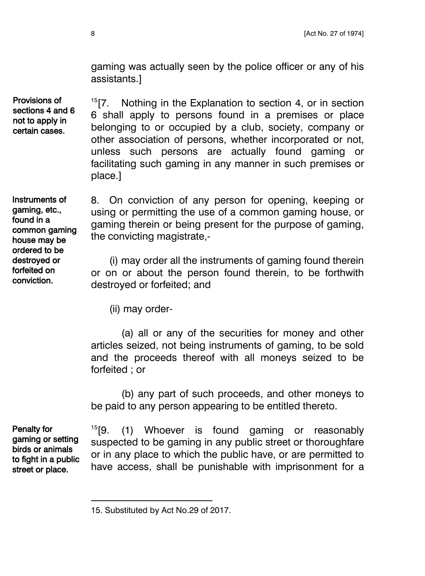gaming was actually seen by the police officer or any of his assistants.]

Provisions of sections 4 and 6 not to apply in certain cases.

 $15$ [7. Nothing in the Explanation to section 4, or in section 6 shall apply to persons found in a premises or place belonging to or occupied by a club, society, company or other association of persons, whether incorporated or not, unless such persons are actually found gaming or facilitating such gaming in any manner in such premises or place.]

Instruments of gaming, etc., found in a common gaming house may be ordered to be destroyed or forfeited on conviction.

8. On conviction of any person for opening, keeping or using or permitting the use of a common gaming house, or gaming therein or being present for the purpose of gaming, the convicting magistrate,-

(i) may order all the instruments of gaming found therein or on or about the person found therein, to be forthwith destroyed or forfeited; and

(ii) may order-

(a) all or any of the securities for money and other articles seized, not being instruments of gaming, to be sold and the proceeds thereof with all moneys seized to be forfeited ; or

(b) any part of such proceeds, and other moneys to be paid to any person appearing to be entitled thereto.

Penalty for gaming or setting birds or animals to fight in a public street or place.

l

 $15$ [9. (1) Whoever is found gaming or reasonably suspected to be gaming in any public street or thoroughfare or in any place to which the public have, or are permitted to have access, shall be punishable with imprisonment for a

<sup>15.</sup> Substituted by Act No.29 of 2017.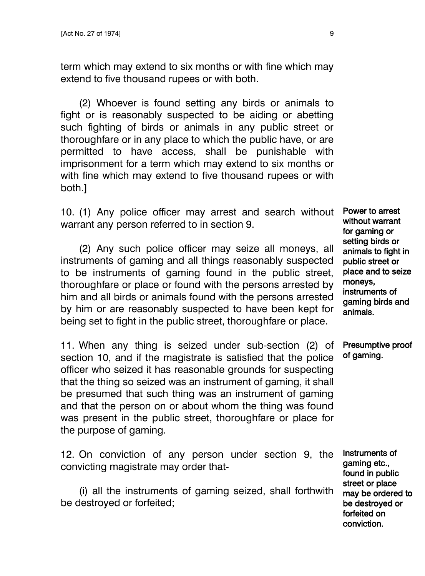term which may extend to six months or with fine which may extend to five thousand rupees or with both.

(2) Whoever is found setting any birds or animals to fight or is reasonably suspected to be aiding or abetting such fighting of birds or animals in any public street or thoroughfare or in any place to which the public have, or are permitted to have access, shall be punishable with imprisonment for a term which may extend to six months or with fine which may extend to five thousand rupees or with both.]

10. (1) Any police officer may arrest and search without warrant any person referred to in section 9.

(2) Any such police officer may seize all moneys, all instruments of gaming and all things reasonably suspected to be instruments of gaming found in the public street, thoroughfare or place or found with the persons arrested by him and all birds or animals found with the persons arrested by him or are reasonably suspected to have been kept for being set to fight in the public street, thoroughfare or place.

11. When any thing is seized under sub-section (2) of section 10, and if the magistrate is satisfied that the police officer who seized it has reasonable grounds for suspecting that the thing so seized was an instrument of gaming, it shall be presumed that such thing was an instrument of gaming and that the person on or about whom the thing was found was present in the public street, thoroughfare or place for the purpose of gaming.

12. On conviction of any person under section 9, the convicting magistrate may order that-

(i) all the instruments of gaming seized, shall forthwith be destroyed or forfeited;

Power to arrest without warrant for gaming or setting birds or animals to fight in public street or place and to seize moneys, instruments of gaming birds and animals.

Presumptive proof of gaming.

Instruments of gaming etc., found in public street or place may be ordered to be destroyed or forfeited on conviction.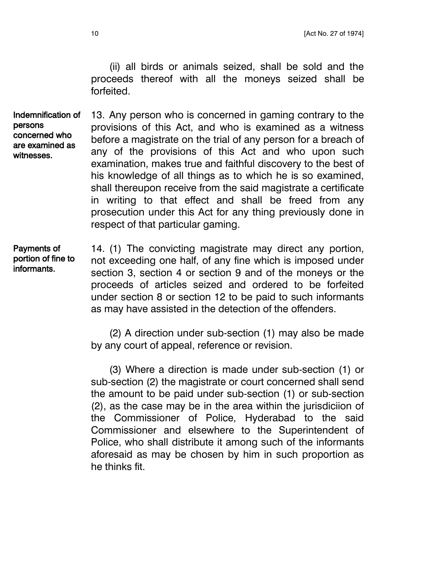(ii) all birds or animals seized, shall be sold and the proceeds thereof with all the moneys seized shall be forfeited.

13. Any person who is concerned in gaming contrary to the provisions of this Act, and who is examined as a witness before a magistrate on the trial of any person for a breach of any of the provisions of this Act and who upon such examination, makes true and faithful discovery to the best of his knowledge of all things as to which he is so examined, shall thereupon receive from the said magistrate a certificate in writing to that effect and shall be freed from any prosecution under this Act for any thing previously done in respect of that particular gaming. Indemnification of persons concerned who are examined as witnesses.

14. (1) The convicting magistrate may direct any portion, not exceeding one half, of any fine which is imposed under section 3, section 4 or section 9 and of the moneys or the proceeds of articles seized and ordered to be forfeited under section 8 or section 12 to be paid to such informants as may have assisted in the detection of the offenders. Payments of portion of fine to informants.

> (2) A direction under sub-section (1) may also be made by any court of appeal, reference or revision.

> (3) Where a direction is made under sub-section (1) or sub-section (2) the magistrate or court concerned shall send the amount to be paid under sub-section (1) or sub-section (2), as the case may be in the area within the jurisdiciion of the Commissioner of Police, Hyderabad to the said Commissioner and elsewhere to the Superintendent of Police, who shall distribute it among such of the informants aforesaid as may be chosen by him in such proportion as he thinks fit.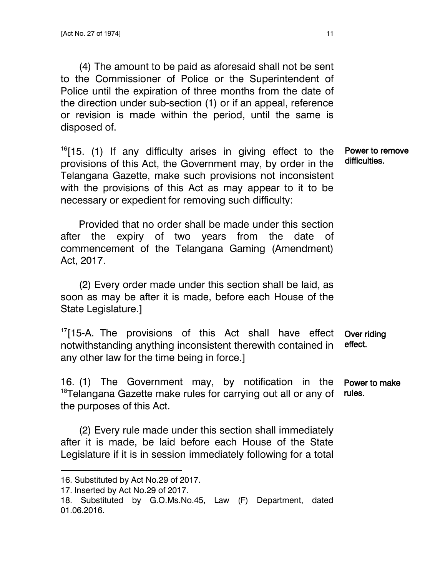(4) The amount to be paid as aforesaid shall not be sent to the Commissioner of Police or the Superintendent of Police until the expiration of three months from the date of the direction under sub-section (1) or if an appeal, reference or revision is made within the period, until the same is disposed of.

 $16$ [15. (1) If any difficulty arises in giving effect to the provisions of this Act, the Government may, by order in the Telangana Gazette, make such provisions not inconsistent with the provisions of this Act as may appear to it to be necessary or expedient for removing such difficulty:

Power to remove difficulties.

Provided that no order shall be made under this section after the expiry of two years from the date of commencement of the Telangana Gaming (Amendment) Act, 2017.

(2) Every order made under this section shall be laid, as soon as may be after it is made, before each House of the State Legislature.]

 $17$ [15-A. The provisions of this Act shall have effect notwithstanding anything inconsistent therewith contained in any other law for the time being in force.] Over riding effect.

16. (1) The Government may, by notification in the <sup>18</sup>Telangana Gazette make rules for carrying out all or any of the purposes of this Act. Power to make rules.

(2) Every rule made under this section shall immediately after it is made, be laid before each House of the State Legislature if it is in session immediately following for a total

 $\overline{\phantom{a}}$ 

<sup>16.</sup> Substituted by Act No.29 of 2017.

<sup>17.</sup> Inserted by Act No.29 of 2017.

<sup>18.</sup> Substituted by G.O.Ms.No.45, Law (F) Department, dated 01.06.2016.